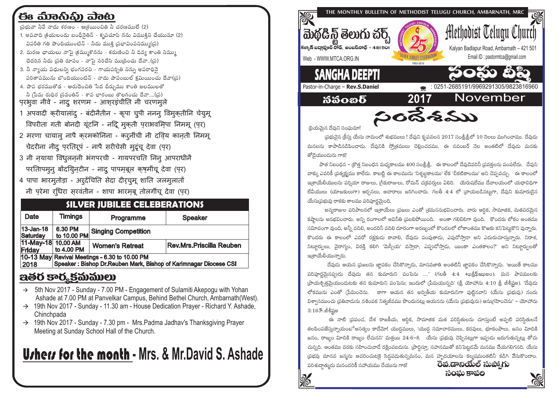# ಈ ಮಾನಿವಿ) ವಾಟ

- వ్రభువా నీవే నాదు శరణం ఆశయించితి నీ చరణములే (2)
- 1. అపవాది <sub>(</sub>కియలందు బంధీనైతిన్ కృపచూపి నను విముక్తిని చేయుమా (2) విపరీతి గతి పొందియుంటిన్ - నీదు ముకి బ్రభావింపనిమ్ము(బ్ర
- 2. మరణ ఛాయలు నాపై (కమ్ముకొనను కరుణించి నీ దివ్య కాంతి నిమ్ము చెదరిన నీదు బ్రతి రూపం - నాపై సరిచేసి ముద్రించు దేవా..(బ్ర)
- 3. నీ న్యాయ విదులన్ని భంగపరచి గాయపర్పితి నిన్ను అపరాదినె పరితాపమును బొందియుంటిన్ - నాదు పాపంబుల్ కమియించు దేవా(్న)
- 4. పాప భరముతోడ ఆరుదెంచితి సేద దీర్చుము శాంతి జలములతో నీ (పేమ రుధిర (సవంతిన్ - శాప భారంబు తొలగించు దేవా....((ప) पुरभूवा नीवे - नादू शरणम - आशुरइंचीति नी चरणमुले
- 1 अपवादी करीयालांदू बंदीनैतीन कृपा चुपी ननन् विमुकतीनि चेयुमू विपरीता गती बोनदी यूंटनि - नद्दि मुकती पराभवमिपा निममू (पर)
- 2 मरणा चायालु नापै करमकोनिना करनींची नी दविय कानती निममू चेदरीना नीद परतिरूपं - नापै सरीचेसी मुद्रंचू देवा (पर)
- 3 नी नयाया विधुलननी भंगपरची गायपरचति निन् आपराधीनै परतिापमन् बोंदयिनटीन - नाद पापमबूल कुषमींचू देवा (पुर)
- 4 पापा भारमूतोड़ा अर्देचिति सेदा दीऱचुमू शांति जलमूलातों नी पुरेमा रधििरा सुरवंतीन - शापा भारमुबू तोलगींचू देवा (पुर)

### **SILVER JUBILEE CELEBERATIONS**

| Date                                          | <b>Timings</b>                                                    | Programme                  | <b>Speaker</b>           |  |  |
|-----------------------------------------------|-------------------------------------------------------------------|----------------------------|--------------------------|--|--|
| 13-Jan-18<br>Saturday                         | 6.30 PM<br>to 10.00 PM                                            | <b>Singing Competition</b> |                          |  |  |
| 11-May-18 10.00 AM<br>Friday                  | to 4.00 PM                                                        | <b>Women's Retreat</b>     | Rev.Mrs.Priscilla Reuben |  |  |
| 10-13 May Revival Meetings - 6.30 to 10.00 PM |                                                                   |                            |                          |  |  |
| 2018                                          | Speaker: Bishop Dr. Reuben Mark, Bishop of Karimnagar Diocese CSI |                            |                          |  |  |

## ಇತ್ತರ ಕಾರ್ದ್ಯವು ಮುಲು

- $\rightarrow$  5th Nov 2017 Sunday 7.00 PM Engagement of Sulamiti Akepogu with Yohan Ashade at 7.00 PM at Panvelkar Campus, Behind Bethel Church, Ambarnath (West).
- → 19th Nov 2017 Sunday 11.30 am House Dedication Prayer Richard Y. Ashade, Chinchpada
- $\rightarrow$  19th Nov 2017 Sunday 7.30 pm Mrs. Padma Jadhav's Thanksgiving Prayer Meeting at Sunday School Hall of the Church.

# **U**rhers for the month - Mrs. & Mr.David S. Ashade



(పియమెన దేవుని సంఘమా!

(పభువైన (కీసు యేసు నామంలో శుభములు ! దేవుని కృపవలన 2017 సంశ్రీశ్రీలో 10 నెలలు ముగించాము. దేవుడు మనలను కాపాడినడిపించాదు. దేవునికి స్కోతములు చెల్లించదము. ఈ నవంబర్ నెల అంతటిలో దేవుడు మనకు తోడెయుందును గాక‼

పాత నిబంధన – (కొత నిబంధన మధ్వకాలము 400 సంశ్రీ,శ్రీ, ఈ కాలంలో దేవుదెవరినీ (పవకలను పంపలేదు. దేవుని వాక్కు ఎవరికీ (పత్యక్ష్యము కాలేదు. కాబట్టి ఈ కాలమును 'నిశ్శబ్ధకాలము' లేక 'చీకటికాలము' అని చెప్పవచ్చు. ఈ కాలంలో ఇ(శాయేలీయులను పర్షియా రాజులు, (గీకురాజులు, రోమన్ చ(కవరులు ఏలిరి. ) యెరుషలేము దేవాలయంలో యధావిధిగా లేవీయులు (యాజకులుగా) ఆర్చనలు, ఆచారాలు జరిగించారు. గలతీ 4:4 లో <sub>(</sub>వాయబడినట్లుగా, దేవుని కుమారుడైన యేసుబ్రహ్మ రాకకు కాలము పరిపూర్ణమైంది.

అన్యరాజుల పరిపాలనలో ఇ[శ్రాయేలు [పజలు ఎంతో [శమననుభవించారు. వారు ఆర్థిక, సామాజిక, మతపరమైన కషాలను అనభవించారు. అన్ని రంగాలలో అవినీతి (పబలిపోయింది. అంతా గలిబిలిగా వుంది. కొందరు లోకం అంతము సమీాపంగా వుంది, అన్నీ వదిలి, అందరినీ వదిలి దూరంగా అరణ్యంలో కొందలలో లోకాంతము కొఱకు కనిపెట్టుకొని వున్నారు. .<br>కొందరు ఈ కాలంలో ఎవరో రక్షకుడు కావాలి, దేవుడు పంపుతాడు, ఎపుడోసాడా అని ఎదురుచూస్తున్నారు. నిరాశ, నిటూ్రర్సులు, వైరాగ్యం, విరక్తి కలిగి 'మెస్సీయ' వస్తాడా, ఎప్పుడోస్తాడు, యింకా ఎంతకాలం?' అని నిటూ్రర్సులతో ఇ(శాయేలీయున్నారు.

దేవుడు ఆయన (ప్రజలను జ్ఞాపకం చేసికొన్నాడు, మానవజాతి అంతటినీ జ్ఞాపకం చేసికొన్నాడు. 'అయితే కాలము పరిపూర్ణమైనప్పుడు దేవుడు తన కుమారుని పంపెను ...' (గలతీ 4:4 +ఖత్రీఫ్అఖుఅం). మన పాపములకు (పాయశ్చిత్రమైయుందుటకు తన కుమారుని పంపెను; ఇందులో (పేమయున్నది' (శ్రీ, యోహాను 4:10 శ్రీ, జీశీష్టఅ). 'దేవుడు లోకమును ఎంతో (పేమించెను. కాగా ఆయన తన అద్వితీయ కుమారునిగా పుట్టినవాని (యేసు (పభువు) నందు విశ్వాసముంచు ప్రతివాదును నశింపక నిత్యజీవము పొందునట్లు ఆయనను (యేసు ప్రభువును) ఆనుగ్రహించెను' – యోహాను  $3:165.26$ శ్రీష్ణఅ

ఈ నాటి (పపంచ, దేశ రాజకీయ, ఆర్థిక, సామాజిక మత పరిస్థితులను చూస్తుంటే అప్పటి పరిస్థితులనే తలపింపజేస్తున్నాయంటే అసత్యం కాదేమో! యుద్ధములు, 'యుద్ధ సమాచారములు, కరవులు, భూకంపాలు, జనం విూదికి జనం, రాజ్యం మోదికి రాజ్యం లేచునని' మత్తయి 24:6–8. ్యేసు (పభువు చెప్పినట్లుగా ఇప్పుడు జరుగుతున్నట్లు తోచు చున్నది. ఆంతము వరకు సహించువాడే రక్షింపబడును. (పార్థిస్తూ, సహనముతో కనిపెట్టడమే మనము చేయగలిగనది. యేసు ప్రభవు మానవ జన్మను ఆచరించుటకై సిద్ధపడుతున్నమనం, మన హృదయాలను కల్మషమంతటినీ కడిగి వేసుకొందాం. రేవ.డానియేల్ సుప్యాగు పరిశుదాత్ముడు మనందరికీ సహాయము చేయును గాక!



సంఘ కాపలి